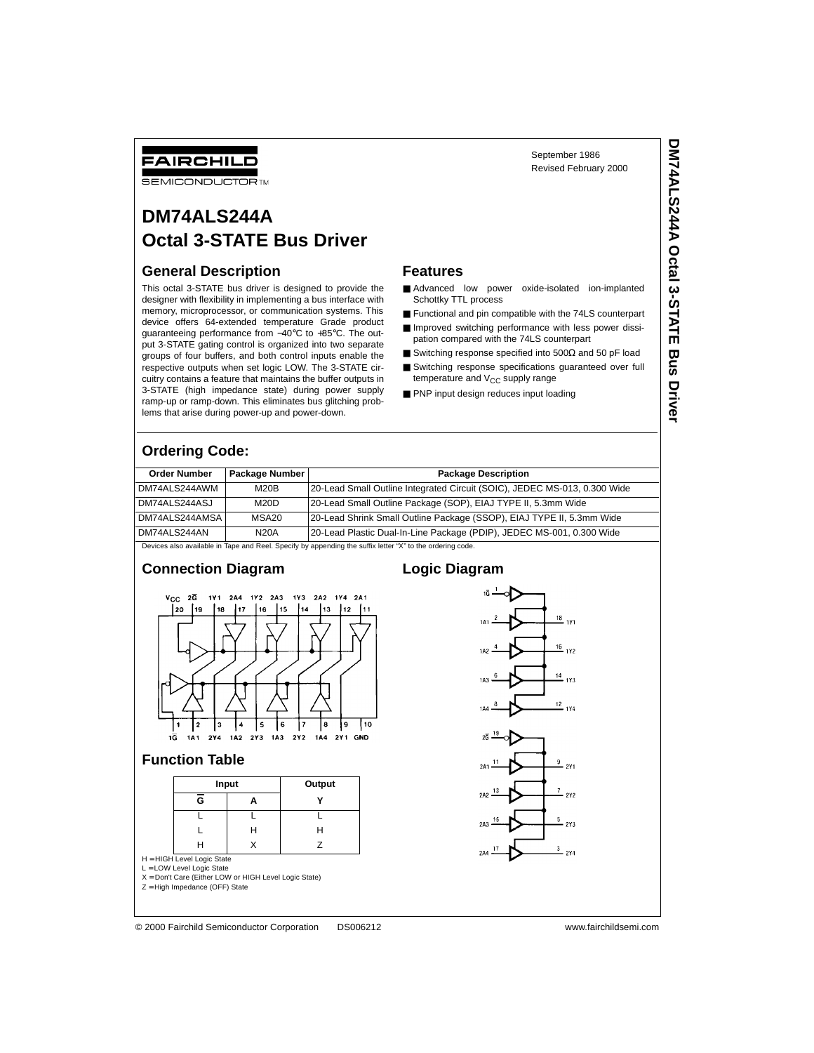# FAIRCHILD

**SEMICONDUCTOR TM** 

# **DM74ALS244A Octal 3-STATE Bus Driver**

#### **General Description**

This octal 3-STATE bus driver is designed to provide the designer with flexibility in implementing a bus interface with memory, microprocessor, or communication systems. This device offers 64-extended temperature Grade product guaranteeing performance from −40°C to +85°C. The output 3-STATE gating control is organized into two separate groups of four buffers, and both control inputs enable the respective outputs when set logic LOW. The 3-STATE circuitry contains a feature that maintains the buffer outputs in 3-STATE (high impedance state) during power supply ramp-up or ramp-down. This eliminates bus glitching problems that arise during power-up and power-down.

#### **Features**

■ Advanced low power oxide-isolated ion-implanted Schottky TTL process

September 1986 Revised February 2000

- Functional and pin compatible with the 74LS counterpart
- Improved switching performance with less power dissipation compared with the 74LS counterpart
- Switching response specified into 500Ω and 50 pF load
- Switching response specifications guaranteed over full temperature and  $V_{CC}$  supply range
- PNP input design reduces input loading

### **Ordering Code:**

| <b>Order Number</b>                                                                                       | Package Number | <b>Package Description</b>                                                |  |  |  |
|-----------------------------------------------------------------------------------------------------------|----------------|---------------------------------------------------------------------------|--|--|--|
| DM74ALS244AWM                                                                                             | M20B           | 20-Lead Small Outline Integrated Circuit (SOIC), JEDEC MS-013, 0.300 Wide |  |  |  |
| DM74ALS244ASJ                                                                                             | M20D           | 20-Lead Small Outline Package (SOP), EIAJ TYPE II, 5.3mm Wide             |  |  |  |
| DM74ALS244AMSA                                                                                            | MSA20          | 20-Lead Shrink Small Outline Package (SSOP), EIAJ TYPE II, 5.3mm Wide     |  |  |  |
| DM74ALS244AN                                                                                              | <b>N20A</b>    | 20-Lead Plastic Dual-In-Line Package (PDIP), JEDEC MS-001, 0.300 Wide     |  |  |  |
| Devices also available in Tape and Reel. Specify by appending the suffix letter "X" to the ordering code. |                |                                                                           |  |  |  |

#### **Connection Diagram**



#### **Function Table**

|   | Input | Output |
|---|-------|--------|
| G |       |        |
|   |       |        |
|   | н     | Н      |
|   |       |        |

H = HIGH Level Logic State L = LOW Level Logic State

X = Don't Care (Either LOW or HIGH Level Logic State)

Z = High Impedance (OFF) State

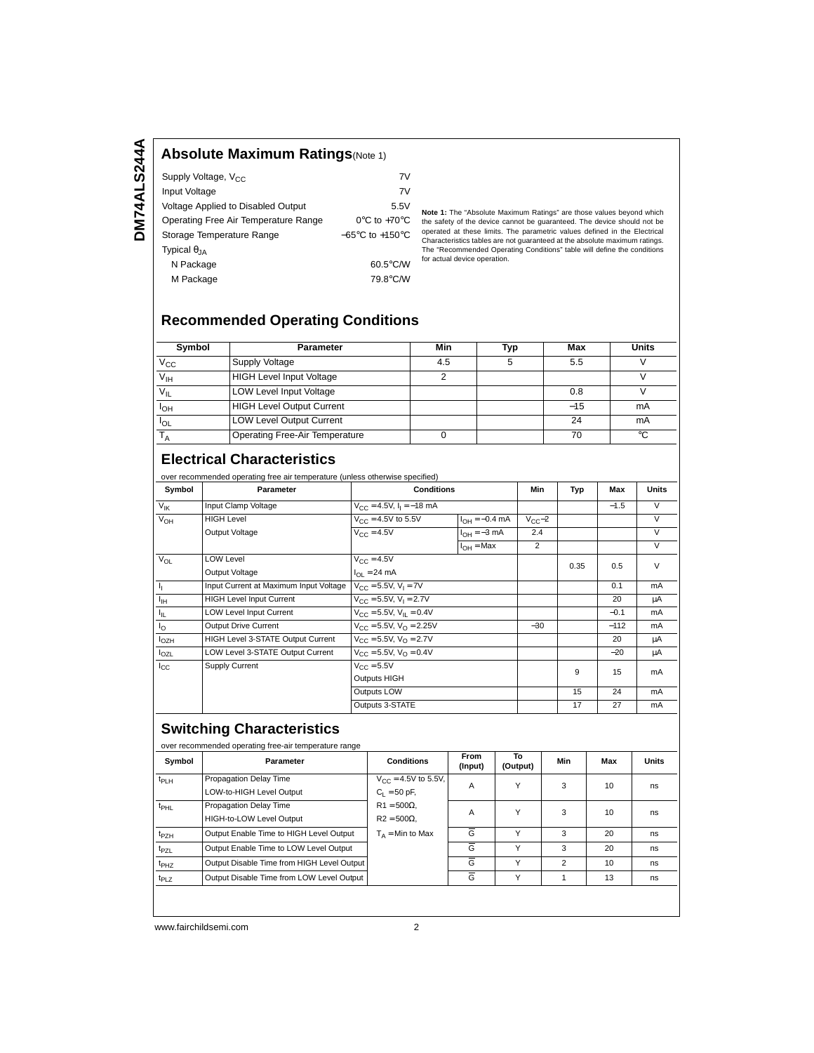## **Absolute Maximum Ratings**(Note 1)

| Supply Voltage, V <sub>CC</sub>      | 7V                                  |
|--------------------------------------|-------------------------------------|
| Input Voltage                        | 7V                                  |
| Voltage Applied to Disabled Output   | 5.5V                                |
| Operating Free Air Temperature Range | $0^{\circ}$ C to +70 $^{\circ}$ C   |
| Storage Temperature Range            | $-65^{\circ}$ C to $+150^{\circ}$ C |
| Typical $\theta_{IA}$                |                                     |
| N Package                            | 60.5°C/W                            |
| M Package                            | 79.8°C/W                            |

**Note 1:** The "Absolute Maximum Ratings" are those values beyond which the safety of the device cannot be guaranteed. The device should not be operated at these limits. The parametric values defined in the Electrical Characteristics tables are not guaranteed at the absolute maximum ratings. The "Recommended Operating Conditions" table will define the conditions for actual device operation.

## **Recommended Operating Conditions**

| Symbol                | <b>Parameter</b>                      | Min | Typ | Max   | <b>Units</b> |
|-----------------------|---------------------------------------|-----|-----|-------|--------------|
| $V_{\rm CC}$          | Supply Voltage                        | 4.5 |     | 5.5   |              |
| V <sub>IH</sub>       | <b>HIGH Level Input Voltage</b>       |     |     |       |              |
| $V_{\parallel}$       | <b>LOW Level Input Voltage</b>        |     |     | 0.8   |              |
| <b>I<sub>OH</sub></b> | <b>HIGH Level Output Current</b>      |     |     | $-15$ | mA           |
| <sup>I</sup> OL       | <b>LOW Level Output Current</b>       |     |     | 24    | mA           |
|                       | <b>Operating Free-Air Temperature</b> |     |     | 70    | °C           |

### **Electrical Characteristics**

over recommended operating free air temperature (unless otherwise specified)

|                         | Over recommended operating nee all temperature (unless otherwise specified) |                                                 |                    |                |        |        |        |
|-------------------------|-----------------------------------------------------------------------------|-------------------------------------------------|--------------------|----------------|--------|--------|--------|
| Symbol                  | Parameter                                                                   | <b>Conditions</b>                               |                    | Min            | Typ    | Max    | Units  |
| $V_{\text{IK}}$         | Input Clamp Voltage                                                         | $V_{CC} = 4.5V$ , $I_1 = -18$ mA                |                    |                | $-1.5$ | $\vee$ |        |
| $V_{OH}$                | <b>HIGH Level</b>                                                           | $V_{CC} = 4.5V$ to 5.5V                         | $I_{OH} = -0.4$ mA | $V_{CC}$ -2    |        |        | $\vee$ |
|                         | Output Voltage                                                              | $V_{CC} = 4.5V$                                 | $I_{OH} = -3$ mA   | 2.4            |        |        | $\vee$ |
|                         |                                                                             |                                                 | $I_{OH}$ = Max     | $\overline{2}$ |        |        | $\vee$ |
| $V_{OL}$                | LOW Level                                                                   | $V_{C} = 4.5V$                                  |                    |                | 0.35   | 0.5    | $\vee$ |
|                         | Output Voltage                                                              | $I_{\text{OI}} = 24 \text{ mA}$                 |                    |                |        |        |        |
| $\mathbf{I}_{\text{I}}$ | Input Current at Maximum Input Voltage                                      | $V_{CC} = 5.5V$ , $V_1 = 7V$                    |                    |                |        | 0.1    | mA     |
| $I_{\text{IH}}$         | <b>HIGH Level Input Current</b>                                             | $V_{\text{CC}} = 5.5V, V_1 = 2.7V$              |                    |                |        | 20     | μA     |
| Ι'n.                    | <b>LOW Level Input Current</b>                                              | $V_{\text{CC}} = 5.5V, V_{\text{II}} = 0.4V$    |                    |                |        | $-0.1$ | mA     |
| $I_{\Omega}$            | <b>Output Drive Current</b>                                                 | $V_{\text{CC}} = 5.5V$ , $V_{\text{O}} = 2.25V$ |                    | $-30$          |        | $-112$ | mA     |
| $I_{OZH}$               | HIGH Level 3-STATE Output Current                                           | $V_{\text{CC}} = 5.5V, V_{\text{O}} = 2.7V$     |                    |                |        | 20     | μA     |
| $I_{OZL}$               | LOW Level 3-STATE Output Current                                            | $V_{\text{CC}} = 5.5V$ , $V_{\text{O}} = 0.4V$  |                    |                |        | $-20$  | μA     |
| $_{\rm lcc}$            | Supply Current                                                              | $V_{\text{CC}} = 5.5V$                          |                    |                | 9      | 15     | mA     |
|                         |                                                                             | Outputs HIGH                                    |                    |                |        |        |        |
|                         |                                                                             | Outputs LOW                                     |                    |                | 15     | 24     | mA     |
|                         |                                                                             | Outputs 3-STATE                                 |                    |                | 17     | 27     | mA     |

# **Switching Characteristics**

| Symbol           | Parameter                                                 | <b>Conditions</b>                          | <b>From</b><br>(Input) | To<br>(Output) | Min            | Max | <b>Units</b> |
|------------------|-----------------------------------------------------------|--------------------------------------------|------------------------|----------------|----------------|-----|--------------|
| $t_{PLH}$        | Propagation Delay Time<br>LOW-to-HIGH Level Output        | $V_{CC} = 4.5V$ to 5.5V,<br>$C_1 = 50$ pF, | $\overline{A}$         | v              | 3              | 10  | ns           |
| $t_{\text{PHL}}$ | Propagation Delay Time<br><b>HIGH-to-LOW Level Output</b> | $R1 = 500\Omega$ .<br>$R2 = 500\Omega$ .   | A                      | $\checkmark$   | 3              | 10  | ns           |
| $t_{PZH}$        | Output Enable Time to HIGH Level Output                   | $T_A$ = Min to Max                         | G                      | $\checkmark$   | 3              | 20  | ns.          |
| t <sub>PZL</sub> | Output Enable Time to LOW Level Output                    |                                            | $\overline{G}$         | $\checkmark$   | 3              | 20  | ns           |
| t <sub>PHZ</sub> | Output Disable Time from HIGH Level Output                |                                            | Ğ                      | $\checkmark$   | $\overline{2}$ | 10  | ns           |
| $t_{PLZ}$        | Output Disable Time from LOW Level Output                 |                                            | G                      | $\checkmark$   |                | 13  | ns           |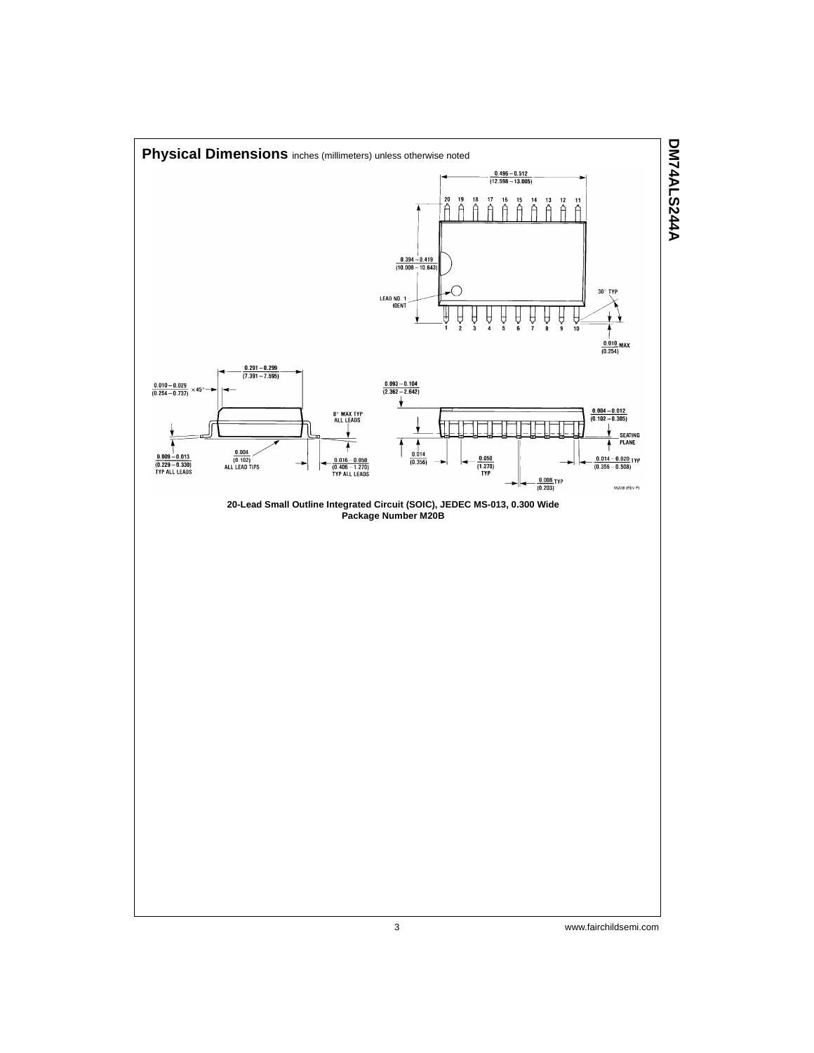

3 www.fairchildsemi.com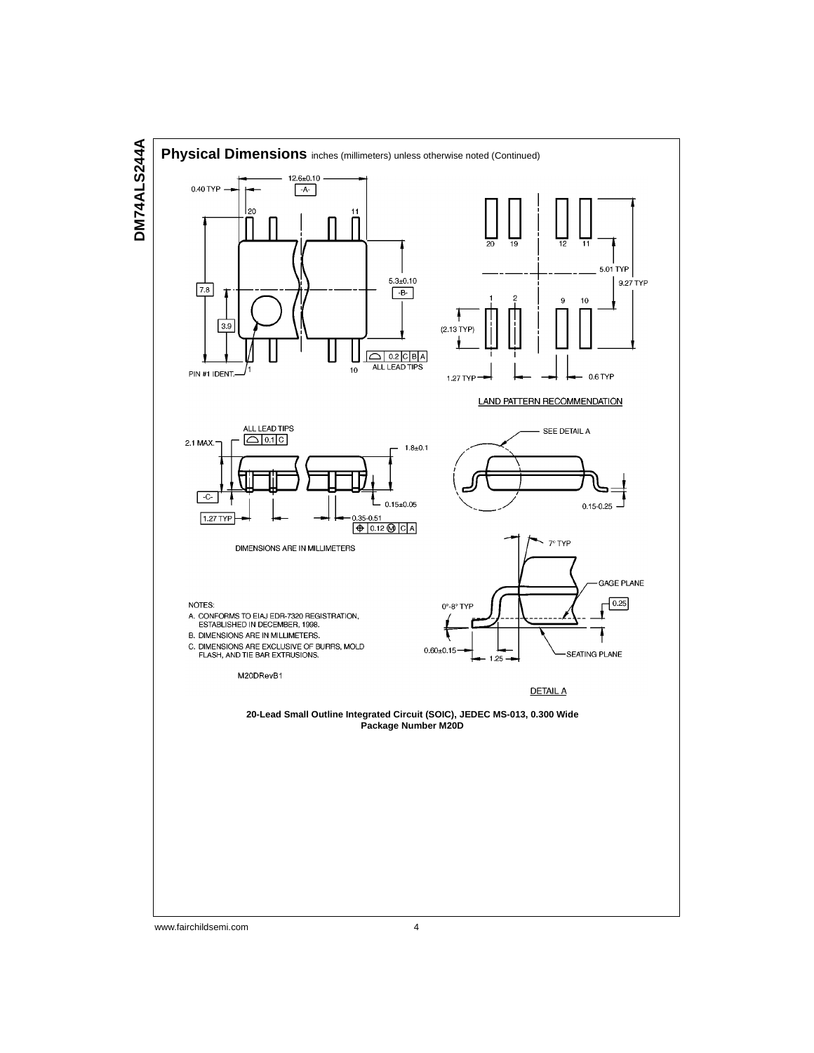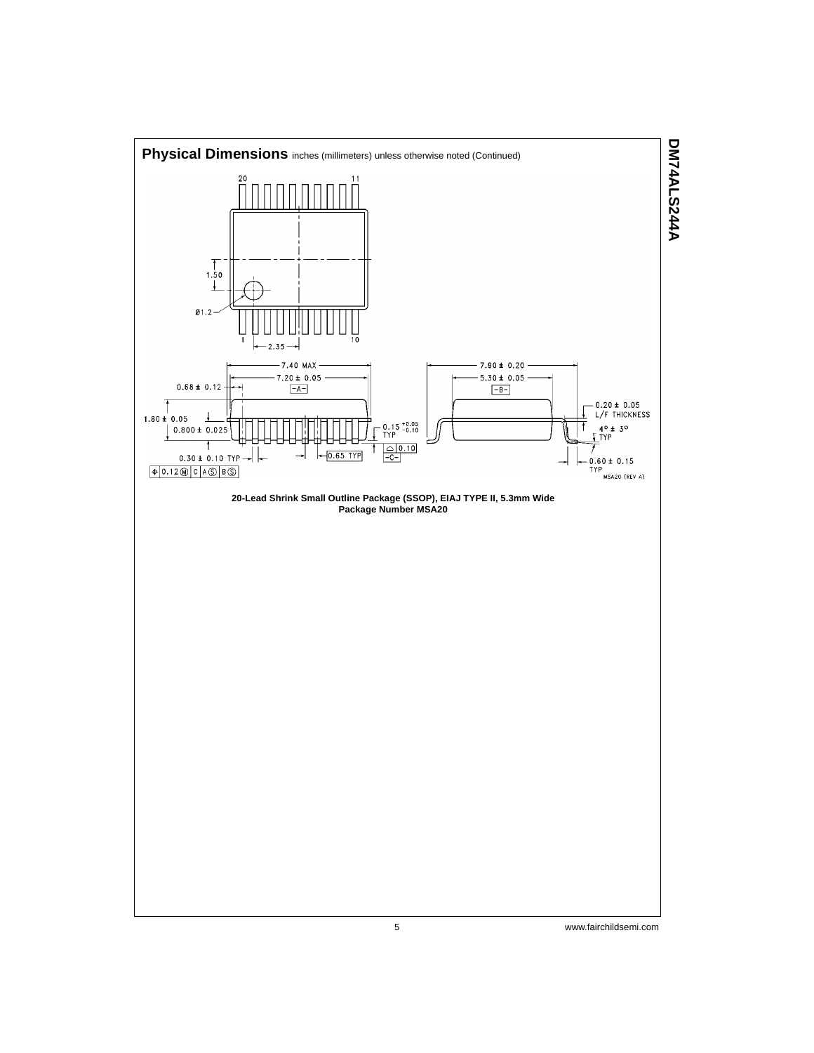